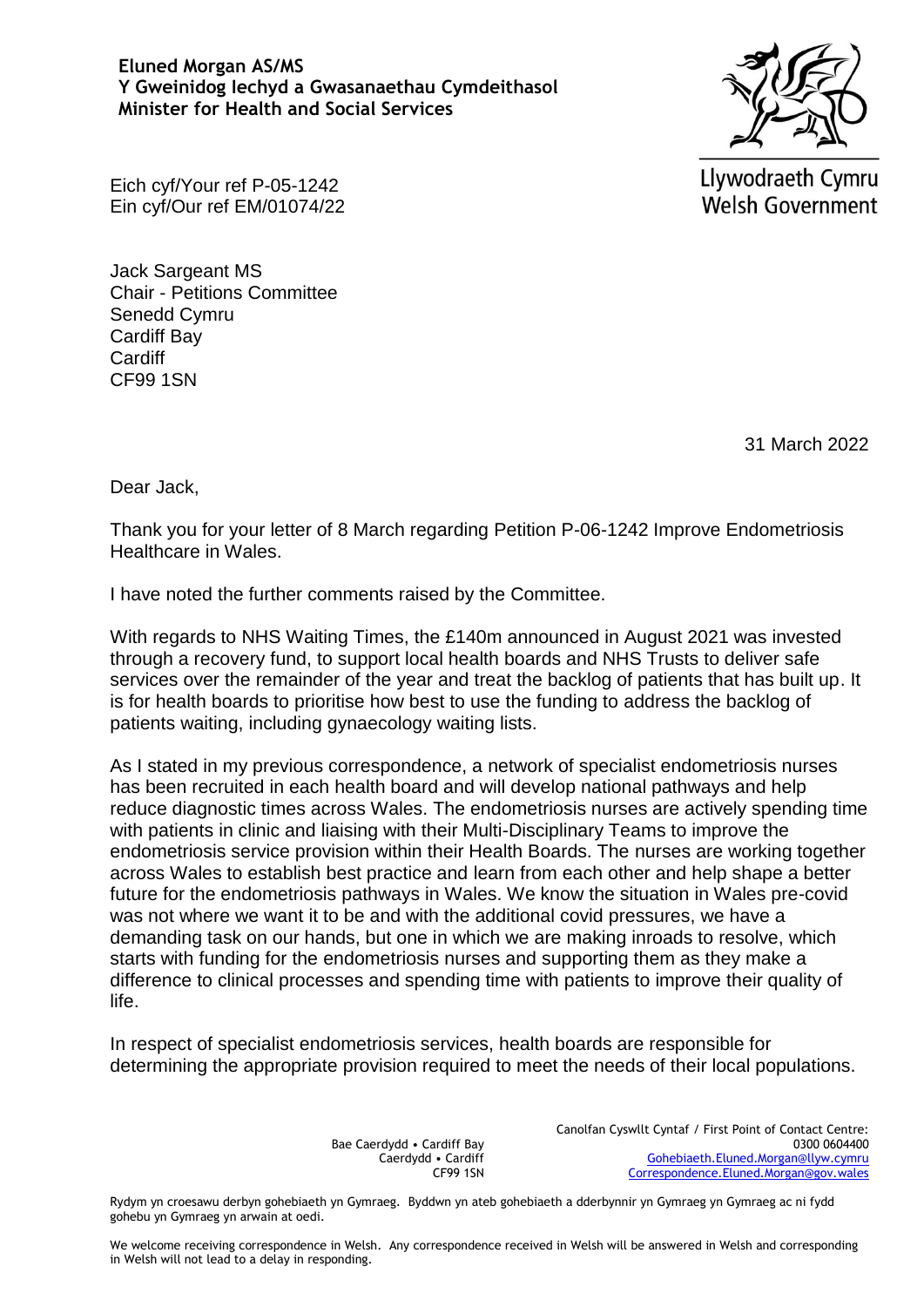## **Eluned Morgan AS/MS Y Gweinidog Iechyd a Gwasanaethau Cymdeithasol Minister for Health and Social Services**



Llywodraeth Cymru **Welsh Government** 

Eich cyf/Your ref P-05-1242 Ein cyf/Our ref EM/01074/22

Jack Sargeant MS Chair - Petitions Committee Senedd Cymru Cardiff Bay Cardiff CF99 1SN

31 March 2022

Dear Jack,

Thank you for your letter of 8 March regarding Petition P-06-1242 Improve Endometriosis Healthcare in Wales.

I have noted the further comments raised by the Committee.

With regards to NHS Waiting Times, the £140m announced in August 2021 was invested through a recovery fund, to support local health boards and NHS Trusts to deliver safe services over the remainder of the year and treat the backlog of patients that has built up. It is for health boards to prioritise how best to use the funding to address the backlog of patients waiting, including gynaecology waiting lists.

As I stated in my previous correspondence, a network of specialist endometriosis nurses has been recruited in each health board and will develop national pathways and help reduce diagnostic times across Wales. The endometriosis nurses are actively spending time with patients in clinic and liaising with their Multi-Disciplinary Teams to improve the endometriosis service provision within their Health Boards. The nurses are working together across Wales to establish best practice and learn from each other and help shape a better future for the endometriosis pathways in Wales. We know the situation in Wales pre-covid was not where we want it to be and with the additional covid pressures, we have a demanding task on our hands, but one in which we are making inroads to resolve, which starts with funding for the endometriosis nurses and supporting them as they make a difference to clinical processes and spending time with patients to improve their quality of life.

In respect of specialist endometriosis services, health boards are responsible for determining the appropriate provision required to meet the needs of their local populations.

> Bae Caerdydd • Cardiff Bay Caerdydd • Cardiff CF99 1SN

Canolfan Cyswllt Cyntaf / First Point of Contact Centre: 0300 0604400 [Gohebiaeth.Eluned.Morgan@llyw.cymru](mailto:Gohebiaeth.Eluned.Morgan@llyw.cymru) [Correspondence.Eluned.Morgan@gov.wales](mailto:Correspondence.Eluned.Morgan@gov.wales)

Rydym yn croesawu derbyn gohebiaeth yn Gymraeg. Byddwn yn ateb gohebiaeth a dderbynnir yn Gymraeg yn Gymraeg ac ni fydd gohebu yn Gymraeg yn arwain at oedi.

We welcome receiving correspondence in Welsh. Any correspondence received in Welsh will be answered in Welsh and corresponding in Welsh will not lead to a delay in responding.